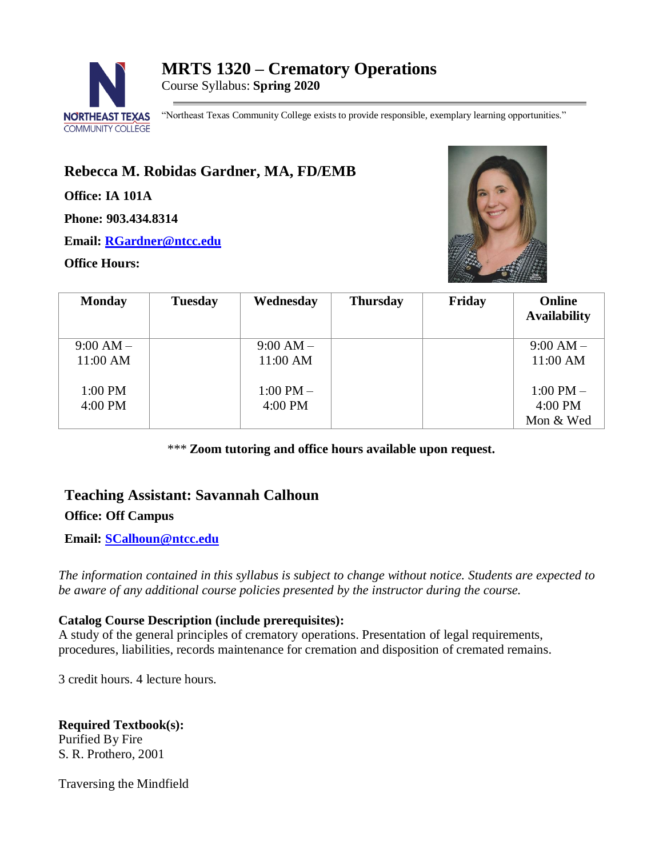

"Northeast Texas Community College exists to provide responsible, exemplary learning opportunities."

# **Rebecca M. Robidas Gardner, MA, FD/EMB**

**Office: IA 101A**

**Phone: 903.434.8314**

**Email: [RGardner@ntcc.edu](mailto:RGardner@ntcc.edu)**

## **Office Hours:**



| <b>Monday</b> | <b>Tuesday</b> | Wednesday     | <b>Thursday</b> | Friday | <b>Online</b><br><b>Availability</b> |
|---------------|----------------|---------------|-----------------|--------|--------------------------------------|
| $9:00 AM -$   |                | $9:00 AM -$   |                 |        | $9:00 AM -$                          |
| 11:00 AM      |                | 11:00 AM      |                 |        | 11:00 AM                             |
| 1:00 PM       |                | $1:00$ PM $-$ |                 |        | $1:00$ PM $-$                        |
| 4:00 PM       |                | 4:00 PM       |                 |        | 4:00 PM                              |
|               |                |               |                 |        | Mon & Wed                            |

*\*\*\** **Zoom tutoring and office hours available upon request.**

## **Teaching Assistant: Savannah Calhoun**

## **Office: Off Campus**

**Email: [SCalhoun@ntcc.edu](mailto:SCalhoun@ntcc.edu)**

*The information contained in this syllabus is subject to change without notice. Students are expected to be aware of any additional course policies presented by the instructor during the course.*

## **Catalog Course Description (include prerequisites):**

A study of the general principles of crematory operations. Presentation of legal requirements, procedures, liabilities, records maintenance for cremation and disposition of cremated remains.

3 credit hours. 4 lecture hours.

**Required Textbook(s):** Purified By Fire S. R. Prothero, 2001

Traversing the Mindfield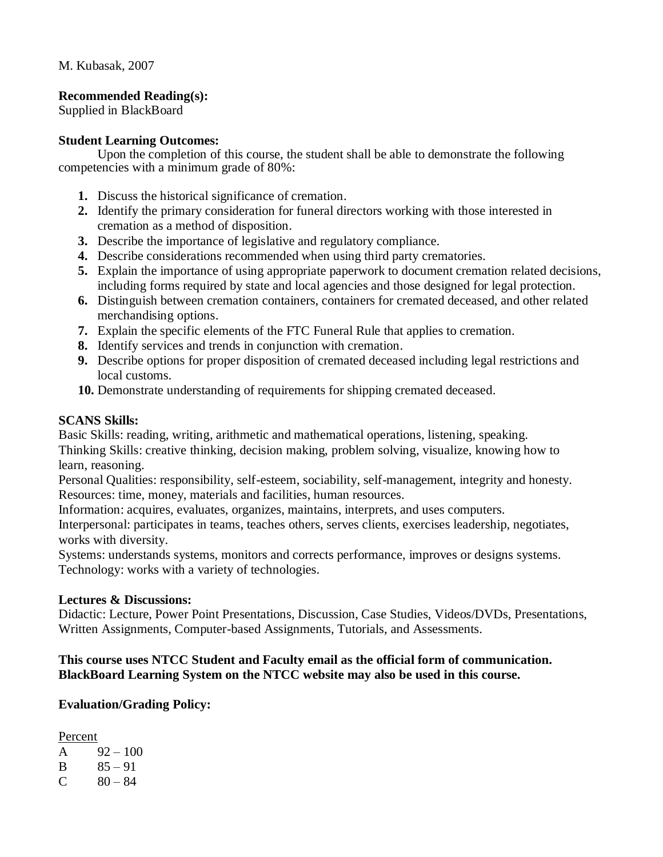M. Kubasak, 2007

## **Recommended Reading(s):**

Supplied in BlackBoard

## **Student Learning Outcomes:**

Upon the completion of this course, the student shall be able to demonstrate the following competencies with a minimum grade of 80%:

- **1.** Discuss the historical significance of cremation.
- **2.** Identify the primary consideration for funeral directors working with those interested in cremation as a method of disposition.
- **3.** Describe the importance of legislative and regulatory compliance.
- **4.** Describe considerations recommended when using third party crematories.
- **5.** Explain the importance of using appropriate paperwork to document cremation related decisions, including forms required by state and local agencies and those designed for legal protection.
- **6.** Distinguish between cremation containers, containers for cremated deceased, and other related merchandising options.
- **7.** Explain the specific elements of the FTC Funeral Rule that applies to cremation.
- **8.** Identify services and trends in conjunction with cremation.
- **9.** Describe options for proper disposition of cremated deceased including legal restrictions and local customs.
- **10.** Demonstrate understanding of requirements for shipping cremated deceased.

#### **SCANS Skills:**

Basic Skills: reading, writing, arithmetic and mathematical operations, listening, speaking. Thinking Skills: creative thinking, decision making, problem solving, visualize, knowing how to learn, reasoning.

Personal Qualities: responsibility, self-esteem, sociability, self-management, integrity and honesty. Resources: time, money, materials and facilities, human resources.

Information: acquires, evaluates, organizes, maintains, interprets, and uses computers.

Interpersonal: participates in teams, teaches others, serves clients, exercises leadership, negotiates, works with diversity.

Systems: understands systems, monitors and corrects performance, improves or designs systems. Technology: works with a variety of technologies.

#### **Lectures & Discussions:**

Didactic: Lecture, Power Point Presentations, Discussion, Case Studies, Videos/DVDs, Presentations, Written Assignments, Computer-based Assignments, Tutorials, and Assessments.

## **This course uses NTCC Student and Faculty email as the official form of communication. BlackBoard Learning System on the NTCC website may also be used in this course.**

## **Evaluation/Grading Policy:**

Percent A  $92 - 100$  $B = 85 - 91$  $C = 80 - 84$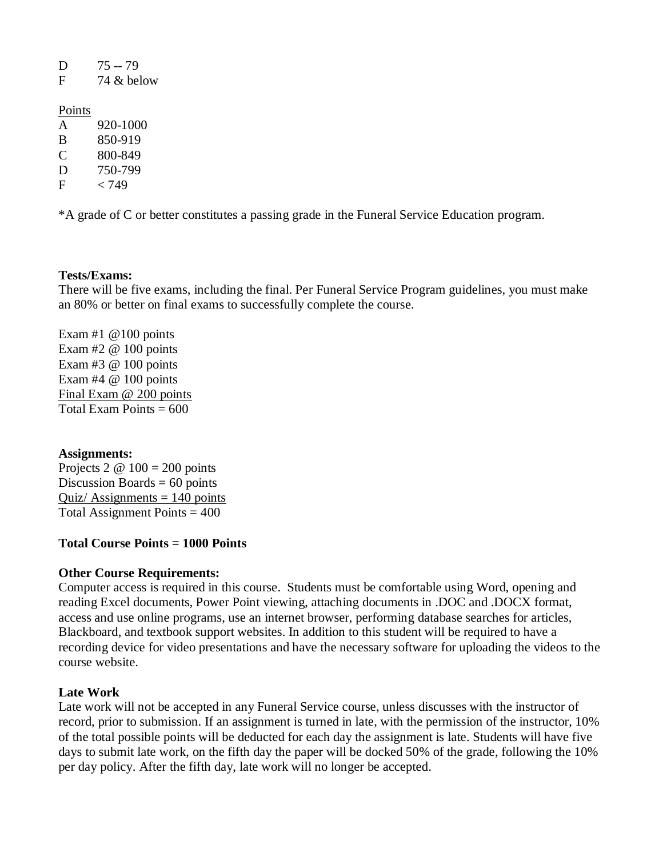| D    | $75 - 79$ |
|------|-----------|
| - 12 | 7401.1    |

 $F = 74 \& \text{helow}$ 

#### Points

| A | 920-1000        |
|---|-----------------|
| B | 850-919         |
| C | 800-849         |
| D | 750-799         |
| F | <i>&lt;</i> 749 |

\*A grade of C or better constitutes a passing grade in the Funeral Service Education program.

## **Tests/Exams:**

There will be five exams, including the final. Per Funeral Service Program guidelines, you must make an 80% or better on final exams to successfully complete the course.

Exam  $#1 \ @ 100 \text{ points}$ Exam #2 @ 100 points Exam #3 @ 100 points Exam  $#4 \ @$  100 points Final Exam @ 200 points Total Exam Points  $= 600$ 

#### **Assignments:**

Projects 2  $\omega$  100 = 200 points Discussion Boards  $= 60$  points Quiz/ Assignments  $= 140$  points Total Assignment Points  $= 400$ 

## **Total Course Points = 1000 Points**

#### **Other Course Requirements:**

Computer access is required in this course. Students must be comfortable using Word, opening and reading Excel documents, Power Point viewing, attaching documents in .DOC and .DOCX format, access and use online programs, use an internet browser, performing database searches for articles, Blackboard, and textbook support websites. In addition to this student will be required to have a recording device for video presentations and have the necessary software for uploading the videos to the course website.

#### **Late Work**

Late work will not be accepted in any Funeral Service course, unless discusses with the instructor of record, prior to submission. If an assignment is turned in late, with the permission of the instructor, 10% of the total possible points will be deducted for each day the assignment is late. Students will have five days to submit late work, on the fifth day the paper will be docked 50% of the grade, following the 10% per day policy. After the fifth day, late work will no longer be accepted.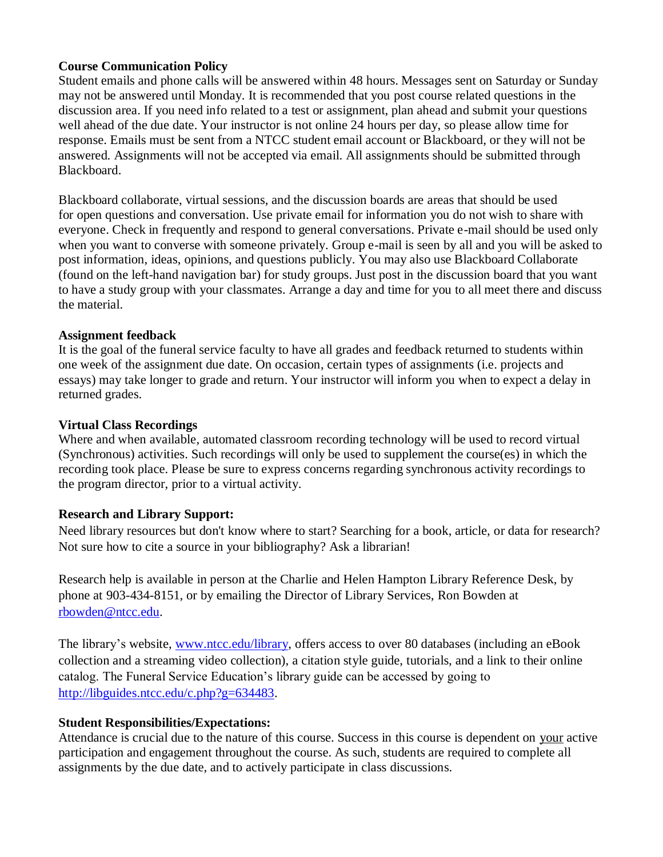## **Course Communication Policy**

Student emails and phone calls will be answered within 48 hours. Messages sent on Saturday or Sunday may not be answered until Monday. It is recommended that you post course related questions in the discussion area. If you need info related to a test or assignment, plan ahead and submit your questions well ahead of the due date. Your instructor is not online 24 hours per day, so please allow time for response. Emails must be sent from a NTCC student email account or Blackboard, or they will not be answered. Assignments will not be accepted via email. All assignments should be submitted through Blackboard.

Blackboard collaborate, virtual sessions, and the discussion boards are areas that should be used for open questions and conversation. Use private email for information you do not wish to share with everyone. Check in frequently and respond to general conversations. Private e-mail should be used only when you want to converse with someone privately. Group e-mail is seen by all and you will be asked to post information, ideas, opinions, and questions publicly. You may also use Blackboard Collaborate (found on the left-hand navigation bar) for study groups. Just post in the discussion board that you want to have a study group with your classmates. Arrange a day and time for you to all meet there and discuss the material.

#### **Assignment feedback**

It is the goal of the funeral service faculty to have all grades and feedback returned to students within one week of the assignment due date. On occasion, certain types of assignments (i.e. projects and essays) may take longer to grade and return. Your instructor will inform you when to expect a delay in returned grades.

#### **Virtual Class Recordings**

Where and when available, automated classroom recording technology will be used to record virtual (Synchronous) activities. Such recordings will only be used to supplement the course(es) in which the recording took place. Please be sure to express concerns regarding synchronous activity recordings to the program director, prior to a virtual activity.

#### **Research and Library Support:**

Need library resources but don't know where to start? Searching for a book, article, or data for research? Not sure how to cite a source in your bibliography? Ask a librarian!

Research help is available in person at the Charlie and Helen Hampton Library Reference Desk, by phone at 903-434-8151, or by emailing the Director of Library Services, Ron Bowden at [rbowden@ntcc.edu.](mailto:rbowden@ntcc.edu)

The library's website, [www.ntcc.edu/library,](https://netxcc-my.sharepoint.com/personal/rgardner_ntcc_edu/Documents/NTCC%20MS%20Department/MRTS%201330%20Orientation/Syllabus%20&%20Calendar/www.ntcc.edu/library) offers access to over 80 databases (including an eBook collection and a streaming video collection), a citation style guide, tutorials, and a link to their online catalog. The Funeral Service Education's library guide can be accessed by going to [http://libguides.ntcc.edu/c.php?g=634483.](http://libguides.ntcc.edu/c.php?g=634483)

#### **Student Responsibilities/Expectations:**

Attendance is crucial due to the nature of this course. Success in this course is dependent on your active participation and engagement throughout the course. As such, students are required to complete all assignments by the due date, and to actively participate in class discussions.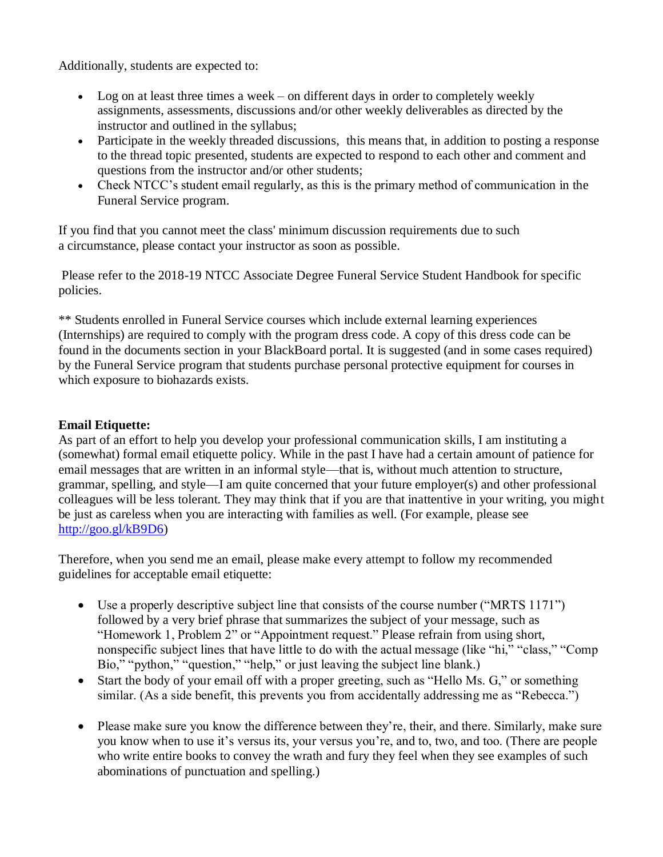Additionally, students are expected to:

- Log on at least three times a week on different days in order to completely weekly assignments, assessments, discussions and/or other weekly deliverables as directed by the instructor and outlined in the syllabus;
- Participate in the weekly threaded discussions, this means that, in addition to posting a response to the thread topic presented, students are expected to respond to each other and comment and questions from the instructor and/or other students;
- Check NTCC's student email regularly, as this is the primary method of communication in the Funeral Service program.

If you find that you cannot meet the class' minimum discussion requirements due to such a circumstance, please contact your instructor as soon as possible.

Please refer to the 2018-19 NTCC Associate Degree Funeral Service Student Handbook for specific policies.

\*\* Students enrolled in Funeral Service courses which include external learning experiences (Internships) are required to comply with the program dress code. A copy of this dress code can be found in the documents section in your BlackBoard portal. It is suggested (and in some cases required) by the Funeral Service program that students purchase personal protective equipment for courses in which exposure to biohazards exists.

## **Email Etiquette:**

As part of an effort to help you develop your professional communication skills, I am instituting a (somewhat) formal email etiquette policy. While in the past I have had a certain amount of patience for email messages that are written in an informal style—that is, without much attention to structure, grammar, spelling, and style—I am quite concerned that your future employer(s) and other professional colleagues will be less tolerant. They may think that if you are that inattentive in your writing, you might be just as careless when you are interacting with families as well. (For example, please see [http://goo.gl/kB9D6\)](http://goo.gl/kB9D6)

Therefore, when you send me an email, please make every attempt to follow my recommended guidelines for acceptable email etiquette:

- Use a properly descriptive subject line that consists of the course number ("MRTS 1171") followed by a very brief phrase that summarizes the subject of your message, such as "Homework 1, Problem 2" or "Appointment request." Please refrain from using short, nonspecific subject lines that have little to do with the actual message (like "hi," "class," "Comp Bio," "python," "question," "help," or just leaving the subject line blank.)
- Start the body of your email off with a proper greeting, such as "Hello Ms. G," or something similar. (As a side benefit, this prevents you from accidentally addressing me as "Rebecca.")
- Please make sure you know the difference between they're, their, and there. Similarly, make sure you know when to use it's versus its, your versus you're, and to, two, and too. (There are people who write entire books to convey the wrath and fury they feel when they see examples of such abominations of punctuation and spelling.)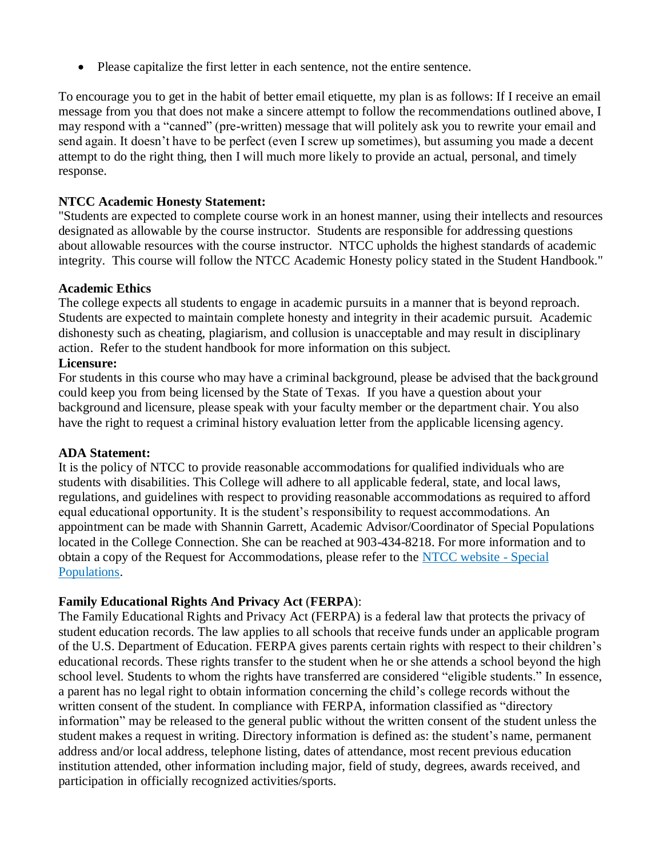Please capitalize the first letter in each sentence, not the entire sentence.

To encourage you to get in the habit of better email etiquette, my plan is as follows: If I receive an email message from you that does not make a sincere attempt to follow the recommendations outlined above, I may respond with a "canned" (pre-written) message that will politely ask you to rewrite your email and send again. It doesn't have to be perfect (even I screw up sometimes), but assuming you made a decent attempt to do the right thing, then I will much more likely to provide an actual, personal, and timely response.

## **NTCC Academic Honesty Statement:**

"Students are expected to complete course work in an honest manner, using their intellects and resources designated as allowable by the course instructor. Students are responsible for addressing questions about allowable resources with the course instructor. NTCC upholds the highest standards of academic integrity. This course will follow the NTCC Academic Honesty policy stated in the Student Handbook."

#### **Academic Ethics**

The college expects all students to engage in academic pursuits in a manner that is beyond reproach. Students are expected to maintain complete honesty and integrity in their academic pursuit. Academic dishonesty such as cheating, plagiarism, and collusion is unacceptable and may result in disciplinary action. Refer to the student handbook for more information on this subject.

## **Licensure:**

For students in this course who may have a criminal background, please be advised that the background could keep you from being licensed by the State of Texas. If you have a question about your background and licensure, please speak with your faculty member or the department chair. You also have the right to request a criminal history evaluation letter from the applicable licensing agency.

#### **ADA Statement:**

It is the policy of NTCC to provide reasonable accommodations for qualified individuals who are students with disabilities. This College will adhere to all applicable federal, state, and local laws, regulations, and guidelines with respect to providing reasonable accommodations as required to afford equal educational opportunity. It is the student's responsibility to request accommodations. An appointment can be made with Shannin Garrett, Academic Advisor/Coordinator of Special Populations located in the College Connection. She can be reached at 903-434-8218. For more information and to obtain a copy of the Request for Accommodations, please refer to the [NTCC website -](http://www.ntcc.edu/index.php?module=Pagesetter&func=viewpub&tid=111&pid=1) Special [Populations.](http://www.ntcc.edu/index.php?module=Pagesetter&func=viewpub&tid=111&pid=1)

## **Family Educational Rights And Privacy Act** (**FERPA**):

The Family Educational Rights and Privacy Act (FERPA) is a federal law that protects the privacy of student education records. The law applies to all schools that receive funds under an applicable program of the U.S. Department of Education. FERPA gives parents certain rights with respect to their children's educational records. These rights transfer to the student when he or she attends a school beyond the high school level. Students to whom the rights have transferred are considered "eligible students." In essence, a parent has no legal right to obtain information concerning the child's college records without the written consent of the student. In compliance with FERPA, information classified as "directory information" may be released to the general public without the written consent of the student unless the student makes a request in writing. Directory information is defined as: the student's name, permanent address and/or local address, telephone listing, dates of attendance, most recent previous education institution attended, other information including major, field of study, degrees, awards received, and participation in officially recognized activities/sports.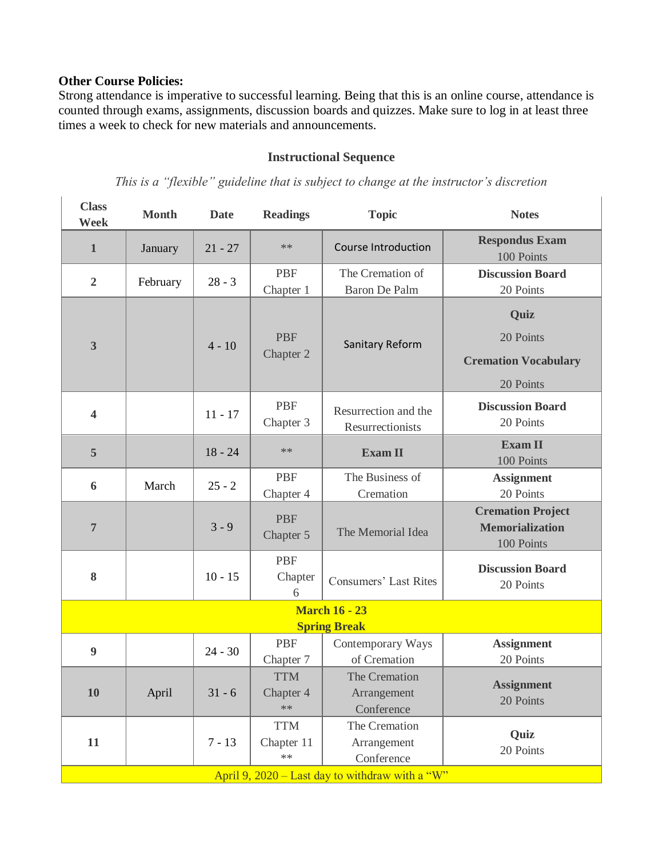## **Other Course Policies:**

Strong attendance is imperative to successful learning. Being that this is an online course, attendance is counted through exams, assignments, discussion boards and quizzes. Make sure to log in at least three times a week to check for new materials and announcements.

## **Instructional Sequence**

*This is a "flexible" guideline that is subject to change at the instructor's discretion*

| <b>Class</b><br>Week                              | <b>Month</b> | <b>Date</b> | <b>Readings</b>                  | <b>Topic</b>                                             | <b>Notes</b>                                                     |
|---------------------------------------------------|--------------|-------------|----------------------------------|----------------------------------------------------------|------------------------------------------------------------------|
| $\mathbf{1}$                                      | January      | $21 - 27$   | $***$                            | <b>Course Introduction</b>                               | <b>Respondus Exam</b><br>100 Points                              |
| $\overline{2}$                                    | February     | $28 - 3$    | <b>PBF</b><br>Chapter 1          | The Cremation of<br><b>Baron De Palm</b>                 | <b>Discussion Board</b><br>20 Points                             |
| 3                                                 |              | $4 - 10$    | <b>PBF</b><br>Chapter 2          | Sanitary Reform                                          | Quiz<br>20 Points<br><b>Cremation Vocabulary</b><br>20 Points    |
| $\overline{\mathbf{4}}$                           |              | $11 - 17$   | <b>PBF</b><br>Chapter 3          | Resurrection and the<br>Resurrectionists                 | <b>Discussion Board</b><br>20 Points                             |
| 5                                                 |              | $18 - 24$   | $**$                             | <b>Exam II</b>                                           | <b>Exam II</b><br>100 Points                                     |
| 6                                                 | March        | $25 - 2$    | <b>PBF</b><br>Chapter 4          | The Business of<br>Cremation                             | <b>Assignment</b><br>20 Points                                   |
| $\overline{7}$                                    |              | $3 - 9$     | <b>PBF</b><br>Chapter 5          | The Memorial Idea                                        | <b>Cremation Project</b><br><b>Memorialization</b><br>100 Points |
| 8                                                 |              | $10 - 15$   | <b>PBF</b><br>Chapter<br>6       | <b>Consumers' Last Rites</b>                             | <b>Discussion Board</b><br>20 Points                             |
| <b>March 16 - 23</b>                              |              |             |                                  |                                                          |                                                                  |
| 9                                                 |              | $24 - 30$   | <b>PBF</b><br>Chapter 7          | <b>Spring Break</b><br>Contemporary Ways<br>of Cremation | <b>Assignment</b><br>20 Points                                   |
| 10                                                | April        | $31 - 6$    | <b>TTM</b><br>Chapter 4<br>$**$  | The Cremation<br>Arrangement<br>Conference               | <b>Assignment</b><br>20 Points                                   |
| 11                                                |              | $7 - 13$    | <b>TTM</b><br>Chapter 11<br>$**$ | The Cremation<br>Arrangement<br>Conference               | Quiz<br>20 Points                                                |
| April 9, $2020 -$ Last day to withdraw with a "W" |              |             |                                  |                                                          |                                                                  |